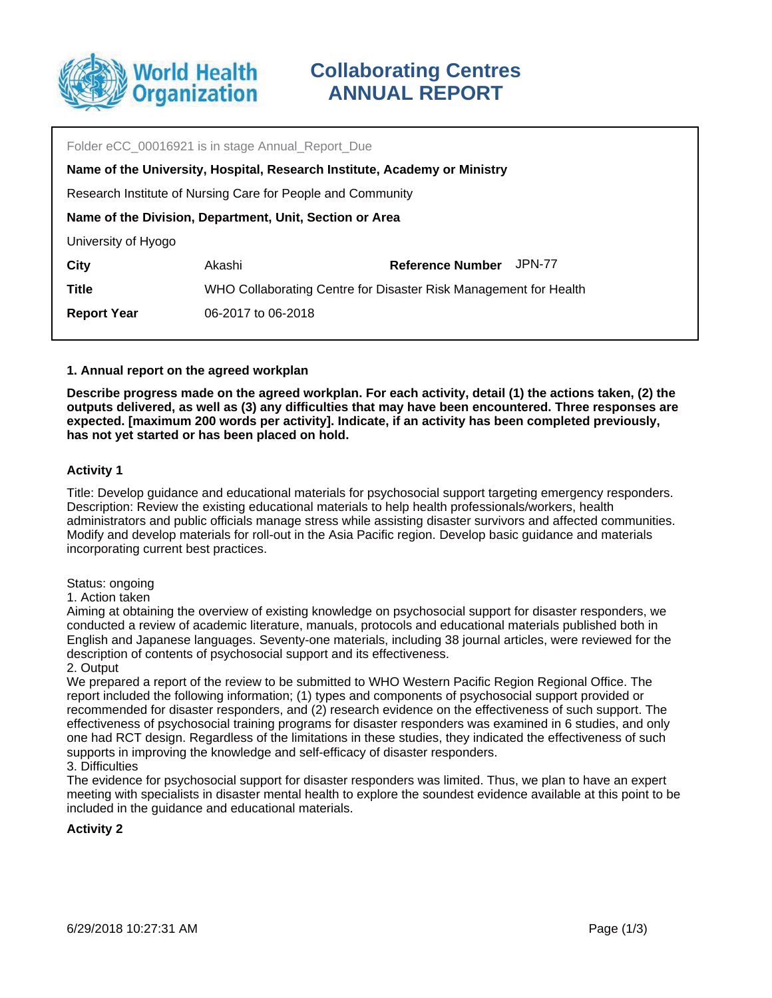

| Folder eCC 00016921 is in stage Annual Report Due                         |                                                                  |                         |        |  |  |  |
|---------------------------------------------------------------------------|------------------------------------------------------------------|-------------------------|--------|--|--|--|
| Name of the University, Hospital, Research Institute, Academy or Ministry |                                                                  |                         |        |  |  |  |
| Research Institute of Nursing Care for People and Community               |                                                                  |                         |        |  |  |  |
| Name of the Division, Department, Unit, Section or Area                   |                                                                  |                         |        |  |  |  |
| University of Hyogo                                                       |                                                                  |                         |        |  |  |  |
| City                                                                      | Akashi                                                           | <b>Reference Number</b> | JPN-77 |  |  |  |
| <b>Title</b>                                                              | WHO Collaborating Centre for Disaster Risk Management for Health |                         |        |  |  |  |
| <b>Report Year</b>                                                        | 06-2017 to 06-2018                                               |                         |        |  |  |  |
|                                                                           |                                                                  |                         |        |  |  |  |

## **1. Annual report on the agreed workplan**

**Describe progress made on the agreed workplan. For each activity, detail (1) the actions taken, (2) the outputs delivered, as well as (3) any difficulties that may have been encountered. Three responses are expected. [maximum 200 words per activity]. Indicate, if an activity has been completed previously, has not yet started or has been placed on hold.**

## **Activity 1**

Title: Develop guidance and educational materials for psychosocial support targeting emergency responders. Description: Review the existing educational materials to help health professionals/workers, health administrators and public officials manage stress while assisting disaster survivors and affected communities. Modify and develop materials for roll-out in the Asia Pacific region. Develop basic guidance and materials incorporating current best practices.

#### Status: ongoing

1. Action taken

Aiming at obtaining the overview of existing knowledge on psychosocial support for disaster responders, we conducted a review of academic literature, manuals, protocols and educational materials published both in English and Japanese languages. Seventy-one materials, including 38 journal articles, were reviewed for the description of contents of psychosocial support and its effectiveness.

2. Output

We prepared a report of the review to be submitted to WHO Western Pacific Region Regional Office. The report included the following information; (1) types and components of psychosocial support provided or recommended for disaster responders, and (2) research evidence on the effectiveness of such support. The effectiveness of psychosocial training programs for disaster responders was examined in 6 studies, and only one had RCT design. Regardless of the limitations in these studies, they indicated the effectiveness of such supports in improving the knowledge and self-efficacy of disaster responders. 3. Difficulties

The evidence for psychosocial support for disaster responders was limited. Thus, we plan to have an expert meeting with specialists in disaster mental health to explore the soundest evidence available at this point to be included in the guidance and educational materials.

## **Activity 2**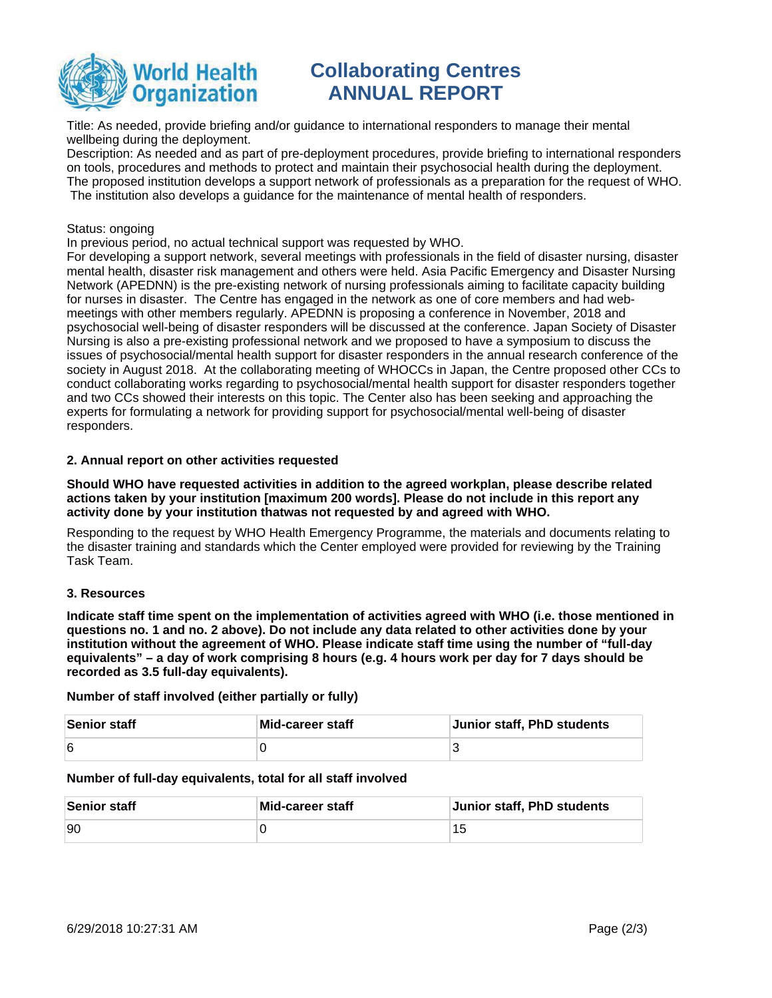

# **Collaborating Centres ANNUAL REPORT**

Title: As needed, provide briefing and/or guidance to international responders to manage their mental wellbeing during the deployment.

Description: As needed and as part of pre-deployment procedures, provide briefing to international responders on tools, procedures and methods to protect and maintain their psychosocial health during the deployment. The proposed institution develops a support network of professionals as a preparation for the request of WHO. The institution also develops a guidance for the maintenance of mental health of responders.

#### Status: ongoing

In previous period, no actual technical support was requested by WHO.

For developing a support network, several meetings with professionals in the field of disaster nursing, disaster mental health, disaster risk management and others were held. Asia Pacific Emergency and Disaster Nursing Network (APEDNN) is the pre-existing network of nursing professionals aiming to facilitate capacity building for nurses in disaster. The Centre has engaged in the network as one of core members and had webmeetings with other members regularly. APEDNN is proposing a conference in November, 2018 and psychosocial well-being of disaster responders will be discussed at the conference. Japan Society of Disaster Nursing is also a pre-existing professional network and we proposed to have a symposium to discuss the issues of psychosocial/mental health support for disaster responders in the annual research conference of the society in August 2018. At the collaborating meeting of WHOCCs in Japan, the Centre proposed other CCs to conduct collaborating works regarding to psychosocial/mental health support for disaster responders together and two CCs showed their interests on this topic. The Center also has been seeking and approaching the experts for formulating a network for providing support for psychosocial/mental well-being of disaster responders.

## **2. Annual report on other activities requested**

**Should WHO have requested activities in addition to the agreed workplan, please describe related actions taken by your institution [maximum 200 words]. Please do not include in this report any activity done by your institution thatwas not requested by and agreed with WHO.**

Responding to the request by WHO Health Emergency Programme, the materials and documents relating to the disaster training and standards which the Center employed were provided for reviewing by the Training Task Team.

## **3. Resources**

**Indicate staff time spent on the implementation of activities agreed with WHO (i.e. those mentioned in questions no. 1 and no. 2 above). Do not include any data related to other activities done by your institution without the agreement of WHO. Please indicate staff time using the number of "full-day equivalents" – a day of work comprising 8 hours (e.g. 4 hours work per day for 7 days should be recorded as 3.5 full-day equivalents).**

**Number of staff involved (either partially or fully)**

| Senior staff | Mid-career staff | Junior staff, PhD students |
|--------------|------------------|----------------------------|
| 6            |                  |                            |

#### **Number of full-day equivalents, total for all staff involved**

| Senior staff | Mid-career staff | Junior staff, PhD students |
|--------------|------------------|----------------------------|
| <b>90</b>    |                  |                            |